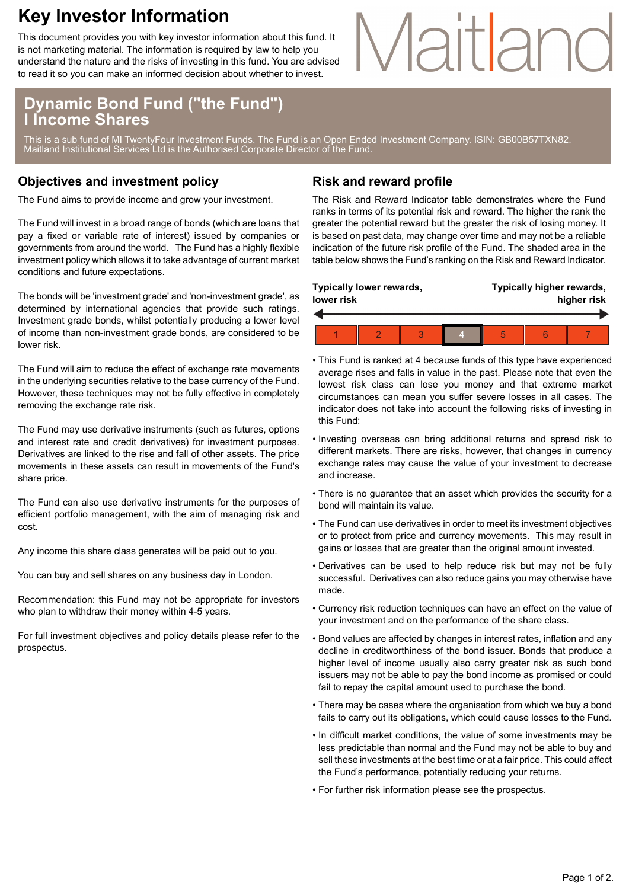## **Key Investor Information**

This document provides you with key investor information about this fund. It is not marketing material. The information is required by law to help you understand the nature and the risks of investing in this fund. You are advised to read it so you can make an informed decision about whether to invest.

# Maitland

### **Dynamic Bond Fund ("the Fund") I Income Shares**

This is a sub fund of MI TwentyFour Investment Funds. The Fund is an Open Ended Investment Company. ISIN: GB00B57TXN82. Maitland Institutional Services Ltd is the Authorised Corporate Director of the Fund.

#### **Objectives and investment policy**

The Fund aims to provide income and grow your investment.

The Fund will invest in a broad range of bonds (which are loans that pay a fixed or variable rate of interest) issued by companies or governments from around the world. The Fund has a highly flexible investment policy which allows it to take advantage of current market conditions and future expectations.

The bonds will be 'investment grade' and 'non-investment grade', as determined by international agencies that provide such ratings. Investment grade bonds, whilst potentially producing a lower level of income than non-investment grade bonds, are considered to be lower risk.

The Fund will aim to reduce the effect of exchange rate movements in the underlying securities relative to the base currency of the Fund. However, these techniques may not be fully effective in completely removing the exchange rate risk.

The Fund may use derivative instruments (such as futures, options and interest rate and credit derivatives) for investment purposes. Derivatives are linked to the rise and fall of other assets. The price movements in these assets can result in movements of the Fund's share price.

The Fund can also use derivative instruments for the purposes of efficient portfolio management, with the aim of managing risk and cost.

Any income this share class generates will be paid out to you.

You can buy and sell shares on any business day in London.

Recommendation: this Fund may not be appropriate for investors who plan to withdraw their money within 4-5 years.

For full investment objectives and policy details please refer to the prospectus.

#### **Risk and reward profile**

The Risk and Reward Indicator table demonstrates where the Fund ranks in terms of its potential risk and reward. The higher the rank the greater the potential reward but the greater the risk of losing money. It is based on past data, may change over time and may not be a reliable indication of the future risk profile of the Fund. The shaded area in the table below shows the Fund's ranking on the Risk and Reward Indicator.

| lower risk | Typically lower rewards, |  | Typically higher rewards,<br>higher risk |  |  |
|------------|--------------------------|--|------------------------------------------|--|--|
|            |                          |  |                                          |  |  |
|            |                          |  | 5                                        |  |  |

- This Fund is ranked at 4 because funds of this type have experienced average rises and falls in value in the past. Please note that even the lowest risk class can lose you money and that extreme market circumstances can mean you suffer severe losses in all cases. The indicator does not take into account the following risks of investing in this Fund:
- Investing overseas can bring additional returns and spread risk to different markets. There are risks, however, that changes in currency exchange rates may cause the value of your investment to decrease and increase.
- There is no guarantee that an asset which provides the security for a bond will maintain its value.
- The Fund can use derivatives in order to meet its investment objectives or to protect from price and currency movements. This may result in gains or losses that are greater than the original amount invested.
- Derivatives can be used to help reduce risk but may not be fully successful. Derivatives can also reduce gains you may otherwise have made.
- Currency risk reduction techniques can have an effect on the value of your investment and on the performance of the share class.
- Bond values are affected by changes in interest rates, inflation and any decline in creditworthiness of the bond issuer. Bonds that produce a higher level of income usually also carry greater risk as such bond issuers may not be able to pay the bond income as promised or could fail to repay the capital amount used to purchase the bond.
- There may be cases where the organisation from which we buy a bond fails to carry out its obligations, which could cause losses to the Fund.
- In difficult market conditions, the value of some investments may be less predictable than normal and the Fund may not be able to buy and sell these investments at the best time or at a fair price. This could affect the Fund's performance, potentially reducing your returns.
- For further risk information please see the prospectus.